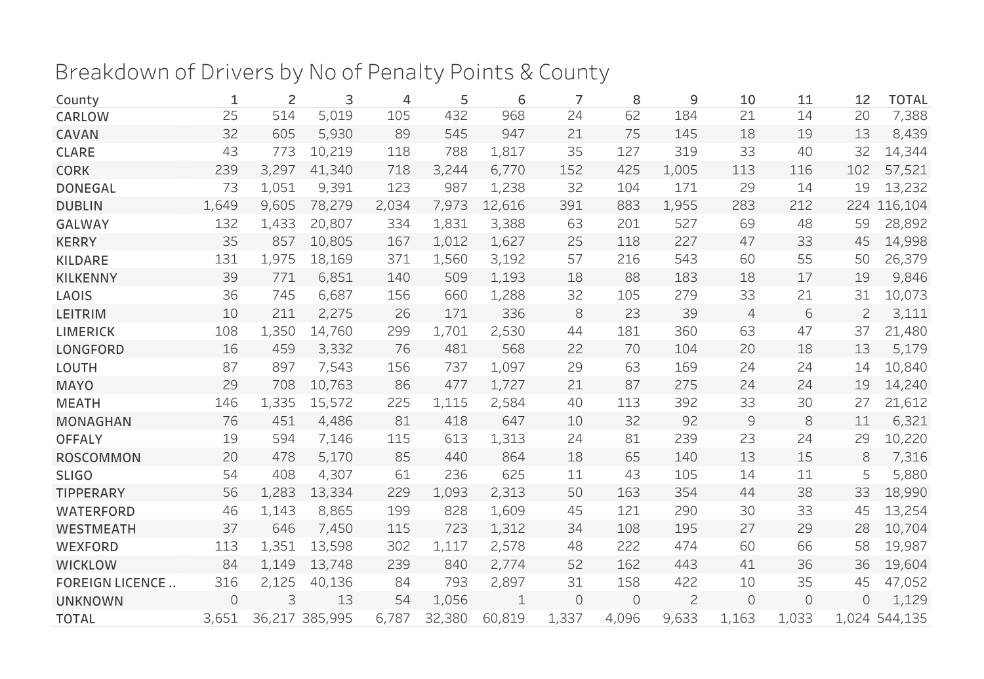## Breakdown of Drivers by No of Penalty Points & County

| County                 | 1     | 2     | 3              | 4     | 5      | 6      | 7       | 8        | 9              | 10             | 11       | 12             | <b>TOTAL</b>  |
|------------------------|-------|-------|----------------|-------|--------|--------|---------|----------|----------------|----------------|----------|----------------|---------------|
| CARLOW                 | 25    | 514   | 5,019          | 105   | 432    | 968    | 24      | 62       | 184            | 21             | 14       | 20             | 7,388         |
| CAVAN                  | 32    | 605   | 5,930          | 89    | 545    | 947    | 21      | 75       | 145            | 18             | 19       | 13             | 8,439         |
| <b>CLARE</b>           | 43    | 773   | 10,219         | 118   | 788    | 1,817  | 35      | 127      | 319            | 33             | 40       | 32             | 14,344        |
| <b>CORK</b>            | 239   | 3,297 | 41,340         | 718   | 3,244  | 6,770  | 152     | 425      | 1,005          | 113            | 116      | 102            | 57,521        |
| <b>DONEGAL</b>         | 73    | 1,051 | 9,391          | 123   | 987    | 1,238  | 32      | 104      | 171            | 29             | 14       | 19             | 13,232        |
| <b>DUBLIN</b>          | 1,649 | 9,605 | 78,279         | 2,034 | 7,973  | 12,616 | 391     | 883      | 1,955          | 283            | 212      |                | 224 116,104   |
| <b>GALWAY</b>          | 132   | 1,433 | 20,807         | 334   | 1,831  | 3,388  | 63      | 201      | 527            | 69             | 48       | 59             | 28,892        |
| <b>KERRY</b>           | 35    | 857   | 10,805         | 167   | 1,012  | 1,627  | 25      | 118      | 227            | 47             | 33       | 45             | 14,998        |
| <b>KILDARE</b>         | 131   | 1,975 | 18,169         | 371   | 1,560  | 3,192  | 57      | 216      | 543            | 60             | 55       | 50             | 26,379        |
| <b>KILKENNY</b>        | 39    | 771   | 6,851          | 140   | 509    | 1,193  | 18      | 88       | 183            | 18             | 17       | 19             | 9,846         |
| LAOIS                  | 36    | 745   | 6,687          | 156   | 660    | 1,288  | 32      | 105      | 279            | 33             | 21       | 31             | 10,073        |
| <b>LEITRIM</b>         | 10    | 211   | 2,275          | 26    | 171    | 336    | 8       | 23       | 39             | $\overline{4}$ | 6        | $\overline{2}$ | 3,111         |
| <b>LIMERICK</b>        | 108   | 1,350 | 14,760         | 299   | 1,701  | 2,530  | 44      | 181      | 360            | 63             | 47       | 37             | 21,480        |
| <b>LONGFORD</b>        | 16    | 459   | 3,332          | 76    | 481    | 568    | 22      | 70       | 104            | 20             | 18       | 13             | 5,179         |
| LOUTH                  | 87    | 897   | 7,543          | 156   | 737    | 1,097  | 29      | 63       | 169            | 24             | 24       | 14             | 10,840        |
| <b>MAYO</b>            | 29    | 708   | 10,763         | 86    | 477    | 1,727  | 21      | 87       | 275            | 24             | 24       | 19             | 14,240        |
| <b>MEATH</b>           | 146   | 1,335 | 15,572         | 225   | 1,115  | 2,584  | 40      | 113      | 392            | 33             | 30       | 27             | 21,612        |
| <b>MONAGHAN</b>        | 76    | 451   | 4,486          | 81    | 418    | 647    | 10      | 32       | 92             | 9              | 8        | 11             | 6,321         |
| <b>OFFALY</b>          | 19    | 594   | 7,146          | 115   | 613    | 1,313  | 24      | 81       | 239            | 23             | 24       | 29             | 10,220        |
| <b>ROSCOMMON</b>       | 20    | 478   | 5,170          | 85    | 440    | 864    | 18      | 65       | 140            | 13             | 15       | 8              | 7,316         |
| <b>SLIGO</b>           | 54    | 408   | 4,307          | 61    | 236    | 625    | 11      | 43       | 105            | 14             | 11       | 5              | 5,880         |
| <b>TIPPERARY</b>       | 56    | 1,283 | 13,334         | 229   | 1,093  | 2,313  | 50      | 163      | 354            | 44             | 38       | 33             | 18,990        |
| <b>WATERFORD</b>       | 46    | 1,143 | 8,865          | 199   | 828    | 1,609  | 45      | 121      | 290            | 30             | 33       | 45             | 13,254        |
| <b>WESTMEATH</b>       | 37    | 646   | 7,450          | 115   | 723    | 1,312  | 34      | 108      | 195            | 27             | 29       | 28             | 10,704        |
| WEXFORD                | 113   | 1,351 | 13,598         | 302   | 1,117  | 2,578  | 48      | 222      | 474            | 60             | 66       | 58             | 19,987        |
| <b>WICKLOW</b>         | 84    | 1,149 | 13,748         | 239   | 840    | 2,774  | 52      | 162      | 443            | 41             | 36       | 36             | 19,604        |
| <b>FOREIGN LICENCE</b> | 316   | 2,125 | 40,136         | 84    | 793    | 2,897  | 31      | 158      | 422            | 10             | 35       | 45             | 47,052        |
| <b>UNKNOWN</b>         | 0     | 3     | 13             | 54    | 1,056  | 1      | $\circ$ | $\Omega$ | $\overline{c}$ | $\circ$        | $\Omega$ | $\Omega$       | 1,129         |
| <b>TOTAL</b>           | 3,651 |       | 36,217 385,995 | 6,787 | 32,380 | 60,819 | 1,337   | 4,096    | 9,633          | 1,163          | 1,033    |                | 1,024 544,135 |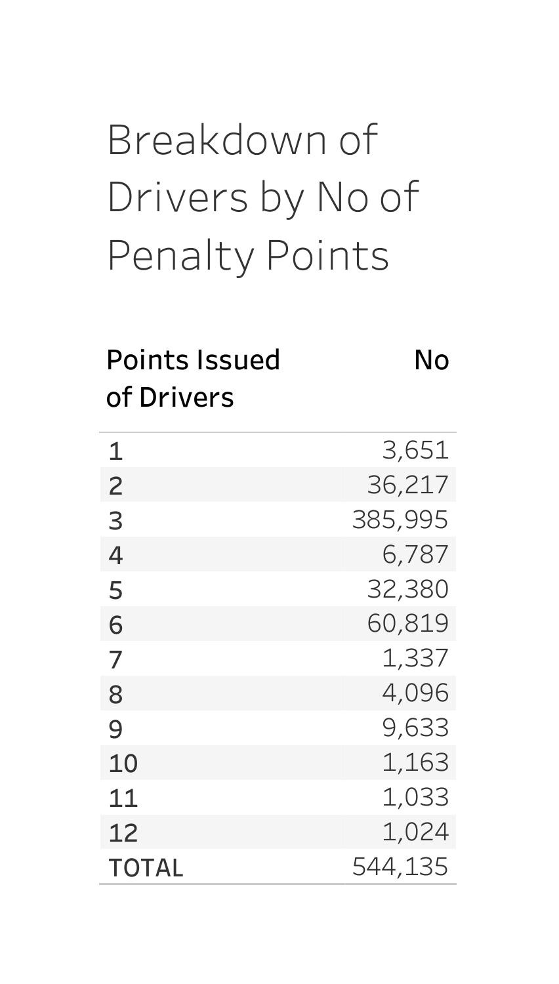## Breakdownof Drivers by No of Penalty Points

#### PointsIssued No ofDrivers

| 1              | 3,651   |
|----------------|---------|
| $\overline{c}$ | 36,217  |
| 3              | 385,995 |
| 4              | 6,787   |
| 5              | 32,380  |
| 6              | 60,819  |
| 7              | 1,337   |
| 8              | 4,096   |
| 9              | 9,633   |
| 10             | 1,163   |
| 11             | 1,033   |
| 12             | 1,024   |
| <b>TOTAL</b>   | 544,135 |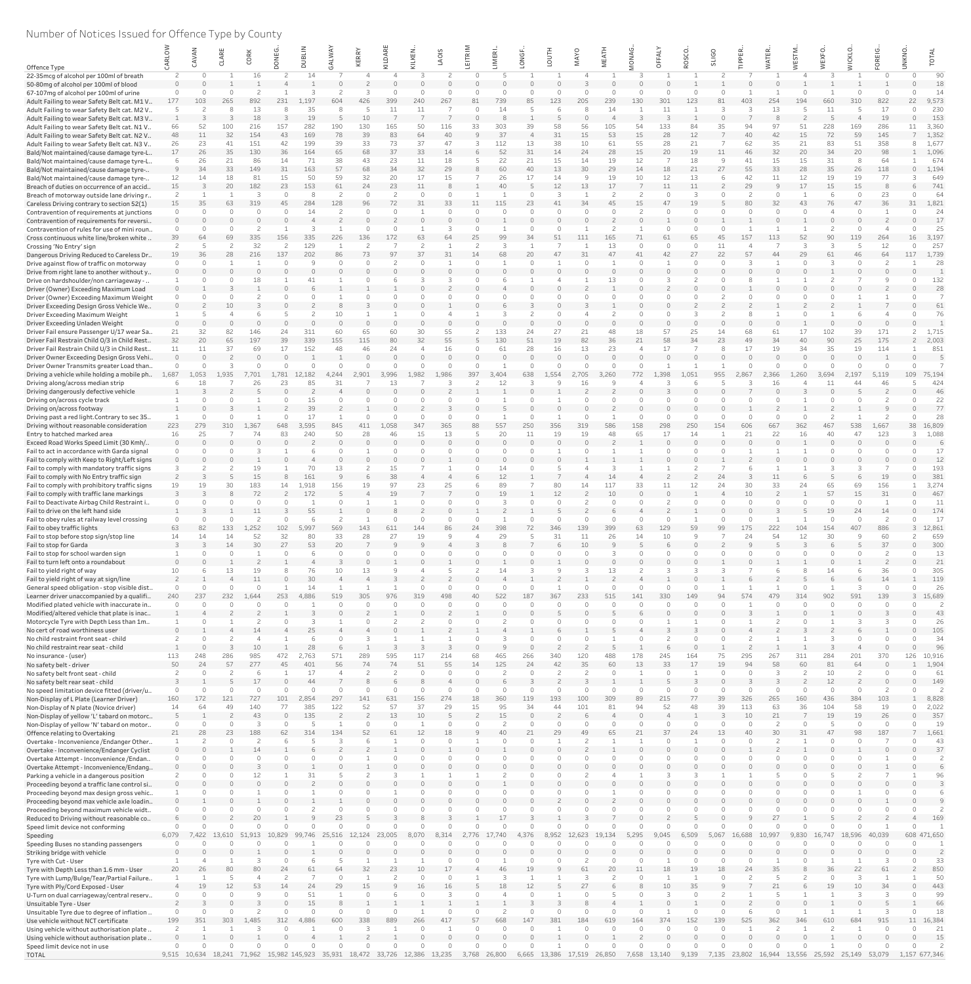# Number of Notices Issued for Offence Type by County

|                                                                                            |           |          |          | Ř<br>ρ     |           |                                                  | <b>A</b>  | ERRY      | δÁ                   |                 | SIO       |       | MERI     | <b>Gi</b> |          | <b>MAYO</b>           | EAT      | <b>ANO</b> | 준         | SCO      | <b>SLIGO</b>   |          | 띥<br>H   |          |                |           | 亩<br>$\alpha$        | <b>UNKNO</b>  |              |
|--------------------------------------------------------------------------------------------|-----------|----------|----------|------------|-----------|--------------------------------------------------|-----------|-----------|----------------------|-----------------|-----------|-------|----------|-----------|----------|-----------------------|----------|------------|-----------|----------|----------------|----------|----------|----------|----------------|-----------|----------------------|---------------|--------------|
| Offence Type                                                                               |           |          |          |            |           |                                                  |           | ⊻         |                      |                 |           |       |          |           |          |                       |          |            |           |          |                |          |          |          |                |           |                      |               |              |
| 22-35mcg of alcohol per 100ml of breath                                                    |           |          |          |            |           |                                                  |           |           |                      |                 |           |       |          |           |          |                       |          |            |           |          |                |          |          |          |                |           |                      |               | 90<br>18     |
| 50-80mg of alcohol per 100ml of blood<br>67-107mg of alcohol per 100ml of urine            |           |          |          |            |           |                                                  |           |           |                      |                 |           |       |          |           |          |                       |          |            |           |          |                |          |          |          |                |           |                      |               | 14           |
| Adult Failing to wear Safety Belt cat. M1 V                                                |           | 103      | 265      | 892        | 231       | .197                                             | 604       | 426       | 399                  | 240             | 267       |       | 739      |           | 123      |                       | 239      | 130        | 301       | 123      |                | 403      | 254      | 194      | 660            | 310       | 822                  | 22            | 9,573        |
| Adult Failing to wear Safety Belt cat. M2 V                                                |           |          |          | 13         |           | 35                                               |           |           |                      |                 |           |       |          |           |          |                       |          |            |           |          |                |          |          |          |                |           | 17                   |               | 230          |
| Adult Failing to wear Safety Belt cat. M3 V                                                |           | 52       | 100      |            |           | 19<br>282                                        |           | 10<br>130 |                      | 50              |           | 33    | 303      | 39        |          |                       | 105      | 54         |           | 84       |                | 94       | 97       |          |                |           | 19<br>286            |               | 153<br>3,360 |
| Adult Failing to wear Safety Belt cat. N1 V<br>Adult Failing to wear Safety Belt cat. N2 V |           | 11       | 32       | 216<br>154 | 157<br>43 | 169                                              | 190<br>78 | 39        | 165<br>83            | 64              | L16<br>40 |       | 37       |           | 58<br>31 | 56<br>15              | 53       | 15         | 133<br>28 | 12       |                |          | 42       | 15       | 228<br>72      | 169<br>59 | 145                  |               | 1,352        |
| Adult Failing to wear Safety Belt cat. N3 V                                                |           | 23       | 41       | 151        | 42        | 199                                              | 39        | 33        | 73                   | 37              | 47        |       | 112      | 13        | 38       | 10                    | 61       | 55         | 28        | 21       |                | 62       | 35       | 21       | 83             | 51        | 358                  |               | 1,677        |
| Bald/Not maintained/cause damage tyre-L                                                    |           | 26       | 35       | 130        | 36        | 164                                              | 65        | 68        | 37                   | 33              | 14        |       | 52       | 31        | 14       | 24                    | 28       | 15         | 20        | 19       |                | 46       | 32       | 20       | 34             | 20        | 98                   |               | 1,096        |
| Bald/Not maintained/cause damage tyre-L                                                    |           | 26<br>34 | 21       | 86         | 14        | 71<br>163                                        | 38<br>57  | 43<br>68  | 23<br>34             | 11<br>32        | 18<br>29  |       | 22<br>60 | 21<br>40  | 15<br>13 | 14<br>30              | 19<br>29 | 12<br>14   |           | 18<br>21 | <b>q</b><br>27 | 41       | 15<br>33 | 15<br>28 | 31<br>35       | 26        | 64                   |               | 674<br>1,194 |
| Bald/Not maintained/cause damage tyre-<br>Bald/Not maintained/cause damage tyre-           |           | 14       | 33<br>18 | 149<br>81  | 31<br>15  | 50                                               | 59        | 32        | 20                   | 17              | 15        |       | 26       | 17        | 14       | $\Omega$              | 19       | 10         | 18<br>12  | 13       |                | 55<br>42 | 11       | 12       | 19             | 19        | 118<br>77            |               | 649          |
| Breach of duties on occurrence of an accid                                                 | 15        |          | 20       | 182        | 23        | 153                                              | 61        | 24        | 23                   | 11              |           |       | 40       |           | 12       | 13                    | 17       |            |           | 11       |                | 29       |          | 17       | 15             | 15        |                      |               | 741          |
| Breach of motorway outside lane driving r                                                  |           |          |          |            | $\bigcap$ |                                                  |           |           |                      | $\cap$          |           |       |          |           | 3        |                       |          |            |           | 3        |                |          |          |          |                |           | 23                   |               | 64           |
| Careless Driving contrary to section 52(1)                                                 | 15        | 35       | 63       |            | 45        | 284                                              | 128       |           |                      |                 |           |       |          |           |          |                       |          |            |           | 19       |                |          |          |          | 76             |           |                      |               | 1,821<br>24  |
| Contravention of requirements at junctions<br>Contravention of requirements for reversi    |           |          |          |            |           |                                                  |           |           |                      |                 |           |       |          |           |          |                       |          |            |           |          |                |          |          |          |                |           |                      |               | 17           |
| Contravention of rules for use of mini roun.                                               |           |          |          |            |           |                                                  |           |           |                      |                 |           |       |          |           |          |                       |          |            |           |          |                |          |          |          |                |           |                      |               | 25           |
| Cross continuous white line/broken white                                                   | 39        | 64       | 69       | 335        | 156       | 335                                              | 226       | 136       | 172                  | 63              |           |       | 99       |           | 51       | 111                   | 165      |            |           | 65       |                | 157      | 113      | 52       | 90             | 119       | 264                  |               | 3,197        |
| Crossing 'No Entry' sign                                                                   |           |          |          | 32         |           | 129                                              |           |           |                      | 37              |           |       |          |           |          |                       | 13       |            |           |          | 11             |          |          | 29       |                |           | 12                   |               | 257          |
| Dangerous Driving Reduced to Careless Dr<br>Drive against flow of traffic on motorway      | 19        | 36       | 28       | 216        | 137       | 202                                              |           |           |                      |                 |           |       |          |           |          |                       |          |            |           | 27       | 22             |          |          |          | 61             | 46        | 64                   |               | 1,739<br>28  |
| Drive from right lane to another without y                                                 |           |          |          |            |           |                                                  |           |           |                      |                 |           |       |          |           |          |                       |          |            |           |          |                |          |          |          |                |           |                      |               |              |
| Drive on hardshoulder/non carriageway -                                                    |           |          |          |            |           |                                                  |           |           |                      |                 |           |       |          |           |          |                       | 13       |            |           |          |                |          |          |          |                |           |                      |               | 132          |
| Driver (Owner) Exceeding Maximum Load                                                      |           |          |          |            |           |                                                  |           |           |                      |                 |           |       |          |           |          |                       |          |            |           |          |                |          |          |          |                |           |                      |               | 28           |
| Driver (Owner) Exceeding Maximum Weight                                                    |           |          |          |            |           |                                                  |           |           |                      |                 |           |       |          |           |          |                       |          |            |           |          |                |          |          |          |                |           |                      |               |              |
| Driver Exceeding Design Gross Vehicle We<br>Driver Exceeding Maximum Weight                |           |          | 10       |            |           |                                                  | 10        |           |                      |                 |           |       |          |           |          |                       |          |            |           |          |                |          |          |          |                |           |                      |               | 61<br>76     |
| Driver Exceeding Unladen Weight                                                            |           |          |          |            |           |                                                  |           |           |                      |                 |           |       |          |           |          |                       |          |            |           |          |                |          |          |          |                |           |                      |               |              |
| Driver Fail ensure Passenger U/17 wear Sa                                                  | 21        | 32       | 82       | 146        | 24        | 311                                              | 60        | 65        | 60                   | 30              | 55        |       | 133      | 24        | 27       | 21                    | 48       | 18         | 57        | 25       | 14             | 68       |          |          | 102            | 39        | 171                  |               | 1,715        |
| Driver Fail Restrain Child 0/3 in Child Rest                                               | 32        | 20       | 65       | 197        | 39        | 339                                              | 155       | 115       | 80                   | 32              | 55        |       | 130      | 51        | 19       | 82                    | 36       |            | 58        | 34       | 23             |          |          |          | 90             | 25        | 175                  |               | 2,003        |
| Driver Fail Restrain Child U/3 in Child Rest                                               | 11        |          | 37       | 69         | 17        | 152                                              | 48        | 46        | 24                   |                 | 16        |       | 61       | 28        | 16       | 13                    |          |            |           |          |                | 17       | 19       | 34       | 35             | 19        | 114                  |               | 851          |
| Driver Owner Exceeding Design Gross Vehi.<br>Driver Owner Transmits greater Load than.     |           |          |          |            |           |                                                  |           |           |                      |                 |           |       |          |           |          |                       |          |            |           |          |                |          |          |          |                |           |                      |               |              |
| Driving a vehicle while holding a mobile ph                                                | 1,687     | 1,053    | 1.935    |            | .781      | 12,182                                           | 4,244     | 2.901     | 3.996                | .982            | 1,986     | 397   | 3,404    | 638       | L.554    | 2,705                 | 3,260    | 772        | 1.398     | 051      | 955            | 2.867    | 2.366    | 1,260    | 3.694          | 2,197     | 5,119                | 109           | 75,194       |
| Driving along/across median strip                                                          |           | 18       |          |            | 23        | 85                                               |           |           | 13                   |                 |           |       |          |           |          |                       |          |            |           |          |                |          |          |          |                |           | 46                   |               | 424          |
| Driving dangerously defective vehicle                                                      |           |          |          |            |           |                                                  |           |           |                      |                 |           |       |          |           |          |                       |          |            |           |          |                |          |          |          | $\bigcap$      |           |                      |               | 46           |
| Driving on/across cycle track<br>Driving on/across footway                                 |           |          |          |            |           | 15<br>39                                         |           |           |                      |                 |           |       |          |           |          |                       |          |            |           |          |                |          |          |          |                |           |                      |               | 22<br>77     |
| Driving past a red light. Contrary to sec 35                                               |           |          |          |            |           | 17                                               |           |           |                      |                 |           |       |          |           |          |                       |          |            |           |          |                |          |          |          |                |           |                      |               | 28           |
| Driving without reasonable consideration                                                   | 223       | 279      | 310      | 1.367      | 648       | 3,595                                            | 845       | 411       | 1,058                | 347             | 365       | 88    | 557      | 250       | 356      | 319                   | 586      | 158        | 298       | 250      | 154            | 606      | 667      | 362      |                | 538       | 1,667                | 38            | 16,809       |
| Entry to hatched marked area                                                               | 16        | 25       |          |            | 83        | 240                                              | 50        | 28        |                      | 15              | 13        |       | 20       |           | 19       | 19                    | 48       | 65         |           | 14       |                | 21       | 22       | 16       | 40             | 47        | 123                  |               | 1,088        |
| Exceed Road Works Speed Limit (30 Kmh/<br>Fail to act in accordance with Garda signal      |           |          |          |            |           |                                                  |           |           |                      |                 |           |       |          |           |          |                       |          |            |           |          |                |          |          |          |                |           |                      |               | 17           |
| Fail to comply with Keep to Right/Left signs                                               |           |          |          |            |           |                                                  |           |           |                      |                 |           |       |          |           |          |                       |          |            |           |          |                |          |          |          |                |           |                      |               | 12           |
| Fail to comply with mandatory traffic signs                                                |           |          |          | 19         |           | 70                                               | 13        |           | 15                   |                 |           |       | 14       |           |          |                       |          |            |           |          |                |          |          |          |                |           |                      |               | 193          |
| Fail to comply with No Entry traffic sign                                                  |           |          |          |            |           | 161                                              |           |           | 38                   |                 |           |       |          |           |          |                       |          |            |           |          |                |          |          |          |                |           | 19                   |               | 381          |
| Fail to comply with prohibitory traffic signs                                              | 19        | 19       | 30       | 183        | 14        | ,918                                             | 156       | 19        | 97                   | 23              | 25        |       | 89       |           | 80       | 14                    | 117      | 33         | 11        | 12       | 24             | 30       | 33       | 24       | 65             | 69        | 156                  |               | 3,274        |
| Fail to comply with traffic lane markings<br>Fail to Deactivate Airbag Child Restraint i   |           |          |          | 72         |           | 172                                              |           |           | 19                   |                 |           |       | 19       |           | 12       |                       | 10       |            |           | $\cap$   |                | 10       |          |          | 57<br>$\Omega$ | 15        | 31                   |               | 467<br>11    |
| Fail to drive on the left hand side                                                        |           |          |          |            |           | 55                                               |           |           |                      |                 |           |       |          |           |          |                       |          |            |           |          |                |          |          |          | 19             |           |                      |               | 174          |
| Fail to obey rules at railway level crossing                                               |           |          |          |            |           |                                                  |           |           |                      |                 |           |       |          |           |          |                       |          |            |           |          |                |          |          |          |                |           |                      |               | 17           |
| Fail to obey traffic lights                                                                | 63        | 82       | 133      | 1,252      | 102       | 5,997                                            | 569       | 143       | 611                  | 144             | -86       | 24    | 398      | 72        | 346      | 139                   | 399      | 63         | 129       | 59       | 99             | 175      | 222      | 104      | 154            | 407       | 886                  |               | 12,861       |
| Fail to stop before stop sign/stop line                                                    | 14        | 14       |          | 52<br>30   | 32<br>27  | 80                                               | 33<br>20  | 28        |                      | 19              |           |       | 2c       |           | 31       | 11<br>10 <sup>°</sup> | 26       | 14         |           |          |                | 24       | 54       | 12       | 30             |           | 60<br>37             |               | 659<br>300   |
| Fail to stop for Garda<br>Fail to stop for school warden sign                              |           |          | 14       |            |           | 53                                               |           |           |                      |                 |           |       |          |           |          |                       |          |            |           |          |                |          |          |          |                |           |                      |               | 13           |
| Fail to turn left onto a roundabout                                                        |           |          |          |            |           |                                                  |           |           |                      |                 |           |       |          |           |          |                       |          |            |           |          |                |          |          |          |                |           |                      |               | 21           |
| Fail to yield right of way                                                                 |           |          |          |            |           | 76                                               | 10        | 13        |                      |                 |           |       |          |           |          |                       | 13       |            |           |          |                |          |          |          | 14             |           | 36                   |               | 305          |
| Fail to yield right of way at sign/line                                                    |           |          |          | 11         |           | 30                                               |           |           |                      |                 |           |       |          |           |          |                       |          |            |           |          |                |          |          |          |                |           | 14                   |               | 119          |
| General speed obligation - stop visible dist<br>Learner driver unaccompanied by a qualifi  | 240       | 237      | 232      | 1.644      | 253       | 14<br>4,886                                      | 519       | 305       | 976                  | 319             | 498       | 40    | 522      | 187       | 367      | 233                   | 515      | 141        | 330       | 149      | $Q_{\Delta}$   | 574      | 479      | 314      | 902            | 591       | 139                  |               | 26<br>15,689 |
| Modified plated vehicle with inaccurate in                                                 |           |          |          |            |           |                                                  |           |           |                      |                 |           |       |          |           |          |                       |          |            |           |          |                |          |          |          |                |           |                      |               |              |
| Modified/altered vehicle that plate is inac                                                |           |          |          |            |           |                                                  |           |           |                      |                 |           |       |          |           |          |                       |          |            |           |          |                |          |          |          |                |           |                      |               |              |
| Motorcycle Tyre with Depth Less than 1m                                                    |           |          |          |            |           |                                                  |           |           |                      |                 |           |       |          |           |          |                       |          |            |           |          |                |          |          |          |                |           |                      |               | -26          |
| No cert of road worthiness user<br>No child restraint front seat - child                   |           |          |          |            |           |                                                  |           |           |                      |                 |           |       |          |           |          |                       |          |            |           |          |                |          |          |          |                |           |                      |               | 105<br>34    |
| No child restraint rear seat - child                                                       |           |          |          |            |           |                                                  |           |           |                      |                 |           |       |          |           |          |                       |          |            |           |          |                |          |          |          |                |           |                      |               | 96           |
| No insurance - (user)                                                                      | 113       | 248      |          | 985        |           | .763                                             |           |           |                      |                 |           |       |          |           | 340      |                       |          | 178        |           | 164      |                |          |          | 311      |                |           |                      |               | 10,916       |
| No safety belt - driver                                                                    | 50        | 24       | 57       | 277        | 45        | 401                                              | 56        |           |                      |                 | 55        | 14    | 125      |           | 42       | 35                    |          |            |           |          |                |          | 58       |          | 81             |           |                      |               | 1,904        |
| No safety belt front seat - child                                                          |           |          |          |            |           | 17                                               |           |           |                      |                 |           |       |          |           |          |                       |          |            |           |          |                |          |          |          | 10             |           |                      |               | 61<br>149    |
| No safety belt rear seat - child<br>No speed limitation device fitted (driver/u            |           |          |          |            |           | 44                                               |           |           |                      |                 |           |       |          |           |          |                       |          |            |           |          |                |          |          |          | 12             |           |                      |               |              |
| Non-Display of L Plate (Learner Driver)                                                    | 160       | 172      | 121      | 727        | 101       | 2,854                                            | 297       | 141       | 631                  | 156             | 274       | 18    | 360      | 119       | 193      | 100                   | 309      | 89         | 215       | 77       | 39             | 326      | 265      | 160      | 436            | 384       | 103                  |               | 8,828        |
| Non-Display of N plate (Novice driver)                                                     | 14        | 64       | 49       | 140        | 77        | 385                                              | 122       | 52        | 57                   | 37              | 29        | 15    | 95       | 34        | 44       | 101                   | 81       | 94         | 52        | 48       | 39             | 113      | 63       | 36       | 104            | 58        | 19                   |               | 2,022        |
| Non-Display of yellow 'L' tabard on motorc                                                 |           |          |          | 43         |           | 135                                              |           |           | 13                   | 10              |           |       | 15       |           |          |                       |          |            |           |          |                | 10       | 21       |          | 19             | 19        | 26                   |               | 357          |
| Non-Display of yellow 'N' tabard on motor<br>Offence relating to Overtaking                | 21        | 28       | 23       | 188        | 62.       |                                                  | 134       |           |                      | 12              |           |       |          |           | 29       |                       |          |            |           | 24       | 13             |          |          |          |                | 98        | 187                  |               | 19<br>1,661  |
| Overtake - Inconvenience / Endanger Other                                                  |           |          |          |            |           |                                                  |           |           |                      |                 |           |       |          |           |          |                       |          |            |           |          |                |          |          |          |                |           |                      |               | 43           |
| Overtake - Inconvenience/Endanger Cyclist                                                  |           |          |          |            |           |                                                  |           |           |                      |                 |           |       |          |           |          |                       |          |            |           |          |                |          |          |          |                |           |                      |               | 37           |
| Overtake Attempt - Inconvenience / Endan                                                   |           |          |          |            |           |                                                  |           |           |                      |                 |           |       |          |           |          |                       |          |            |           |          |                |          |          |          |                |           |                      |               |              |
| Overtake Attempt - Inconvenience/Endang<br>Parking a vehicle in a dangerous position       |           |          |          |            |           | 31                                               |           |           |                      |                 |           |       |          |           |          |                       |          |            |           |          |                |          |          |          |                |           |                      |               |              |
| Proceeding beyond a traffic lane control si                                                |           |          |          |            |           |                                                  |           |           |                      |                 |           |       |          |           |          |                       |          |            |           |          |                |          |          |          |                |           |                      |               |              |
| Proceeding beyond max design gross vehic                                                   |           |          |          |            |           |                                                  |           |           |                      |                 |           |       |          |           |          |                       |          |            |           |          |                |          |          |          |                |           |                      |               |              |
| Proceeding beyond max vehicle axle loadin                                                  |           |          |          |            |           |                                                  |           |           |                      |                 |           |       |          |           |          |                       |          |            |           |          |                |          |          |          |                |           |                      |               |              |
| Proceeding beyond maximum vehicle widt                                                     |           |          |          |            |           |                                                  |           |           |                      |                 |           |       |          |           |          |                       |          |            |           | $\cap$   |                |          |          |          |                |           |                      |               |              |
| Reduced to Driving without reasonable co<br>Speed limit device not conforming              |           |          |          |            |           |                                                  |           |           |                      |                 |           |       |          |           |          |                       |          |            |           |          |                |          |          |          |                |           |                      |               | 169          |
| Speeding                                                                                   | 6,079     | 7.422    | 13.610   | 51.913     |           | 746.                                             |           | 124       | 23,005               |                 |           |       | 740      |           | 3.952    | 12.623                | 19.134   | 5.295      |           | 5.509.   | 5.067          | 16.688   | 10.997   | 9.830    | 16,747         | 18,596    | 40,039               |               | 608 471,650  |
| Speeding Buses no standing passengers                                                      |           |          |          |            |           |                                                  |           |           |                      |                 |           |       |          |           |          |                       |          |            |           |          |                |          |          |          |                |           |                      |               |              |
| Striking bridge with vehicle                                                               |           |          |          |            |           |                                                  |           |           |                      |                 |           |       |          |           |          |                       |          |            |           |          |                |          |          |          |                |           |                      |               |              |
| Tyre with Cut - User                                                                       |           |          |          |            |           |                                                  |           |           |                      |                 |           |       |          |           |          |                       |          |            |           |          |                |          |          |          |                |           |                      |               | 33           |
| Tyre with Depth Less than 1.6 mm - User<br>Tyre with Lump/Bulge/Tear/Partial Failure       | <b>20</b> | 26       | 80       | 80         | 24        |                                                  |           | 32        |                      | 10 <sup>1</sup> |           |       | 46       | 19        |          |                       |          |            | 18        | 19       |                |          | 35       |          | 36             | 22        |                      |               | 850<br>50    |
| Tyre with Ply/Cord Exposed - User                                                          |           | 19       | 12       | 53         | 14        | 24                                               | 29        |           |                      | 16              |           |       | 18       |           |          |                       |          |            |           | 35       |                |          |          |          | 19             | 10        | 34                   |               | 443          |
| U-Turn on dual carriageway/central reserv                                                  |           |          |          |            |           | 51                                               |           |           |                      |                 |           |       |          |           |          |                       |          |            |           |          |                |          |          |          |                |           |                      |               | 99           |
| Unsuitable Tyre - User                                                                     |           |          |          |            |           | 15                                               |           |           |                      |                 |           |       |          |           |          |                       |          |            |           |          |                |          |          |          |                |           |                      |               | 66           |
| Unsuitable Tyre due to degree of inflation                                                 |           |          |          |            |           |                                                  |           |           |                      |                 |           |       |          |           |          |                       |          |            |           |          |                |          |          |          |                |           |                      |               | 18           |
| Use vehicle without NCT certificate<br>Using vehicle without authorisation plate           | 199       | 351      | 303      | .485       |           | ,886                                             | 600       | 338       | 889                  | 266             |           |       | 668      |           | 381      | 184                   | 619      | 164        | 374       | 152      | 139            | 525      | 362      | 346      | 610            | 684       | 915                  |               | 16,384<br>21 |
| Using vehicle without authorisation plate                                                  |           |          |          |            |           |                                                  |           |           |                      |                 |           |       |          |           |          |                       |          |            |           |          |                |          |          |          |                |           |                      |               | 15           |
| Speed limit device not in use                                                              |           |          |          |            |           |                                                  |           |           |                      |                 |           |       |          |           |          |                       |          |            |           |          |                |          |          |          |                |           |                      |               |              |
| <b>TOTAL</b>                                                                               |           |          |          |            |           | 9,515 10,634 18,241 71,962 15,982 145,923 35,931 |           |           | 18,472 33,726 12,386 |                 | 13,235    | 3,768 | 26,800   | 6,665     | 13,386   | 17,519                | 26,850   | 7,658      | 13,140    | 9,139    | 7,135          | 23,802   | 16,944   | 13,556   |                |           | 25,592 25,149 53,079 | 1,157 677,346 |              |